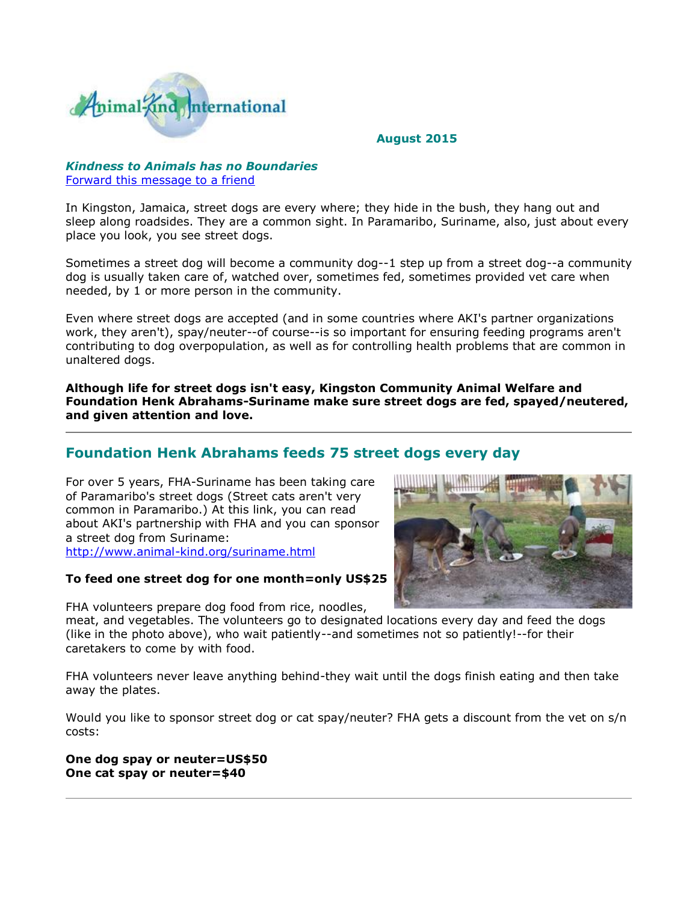

### **August 2015**

### *Kindness to Animals has no Boundaries*  [Forward this message to a friend](http://oi.vresp.com/f2af/v4/send_to_friend.html?ch=54c95d4b33)

In Kingston, Jamaica, street dogs are every where; they hide in the bush, they hang out and sleep along roadsides. They are a common sight. In Paramaribo, Suriname, also, just about every place you look, you see street dogs.

Sometimes a street dog will become a community dog--1 step up from a street dog--a community dog is usually taken care of, watched over, sometimes fed, sometimes provided vet care when needed, by 1 or more person in the community.

Even where street dogs are accepted (and in some countries where AKI's partner organizations work, they aren't), spay/neuter--of course--is so important for ensuring feeding programs aren't contributing to dog overpopulation, as well as for controlling health problems that are common in unaltered dogs.

**Although life for street dogs isn't easy, Kingston Community Animal Welfare and Foundation Henk Abrahams-Suriname make sure street dogs are fed, spayed/neutered, and given attention and love.** 

# **Foundation Henk Abrahams feeds 75 street dogs every day**

For over 5 years, FHA-Suriname has been taking care of Paramaribo's street dogs (Street cats aren't very common in Paramaribo.) At this link, you can read about AKI's partnership with FHA and you can sponsor a street dog from Suriname: [http://www.animal-kind.org/suriname.html](http://cts.vresp.com/c/?AnimalKindInternatio/54c95d4b33/f33df9aebc/6cb2573cf2)

### **To feed one street dog for one month=only US\$25**

FHA volunteers prepare dog food from rice, noodles,

meat, and vegetables. The volunteers go to designated locations every day and feed the dogs (like in the photo above), who wait patiently--and sometimes not so patiently!--for their caretakers to come by with food.

FHA volunteers never leave anything behind-they wait until the dogs finish eating and then take away the plates.

Would you like to sponsor street dog or cat spay/neuter? FHA gets a discount from the vet on s/n costs:

**One dog spay or neuter=US\$50 One cat spay or neuter=\$40**

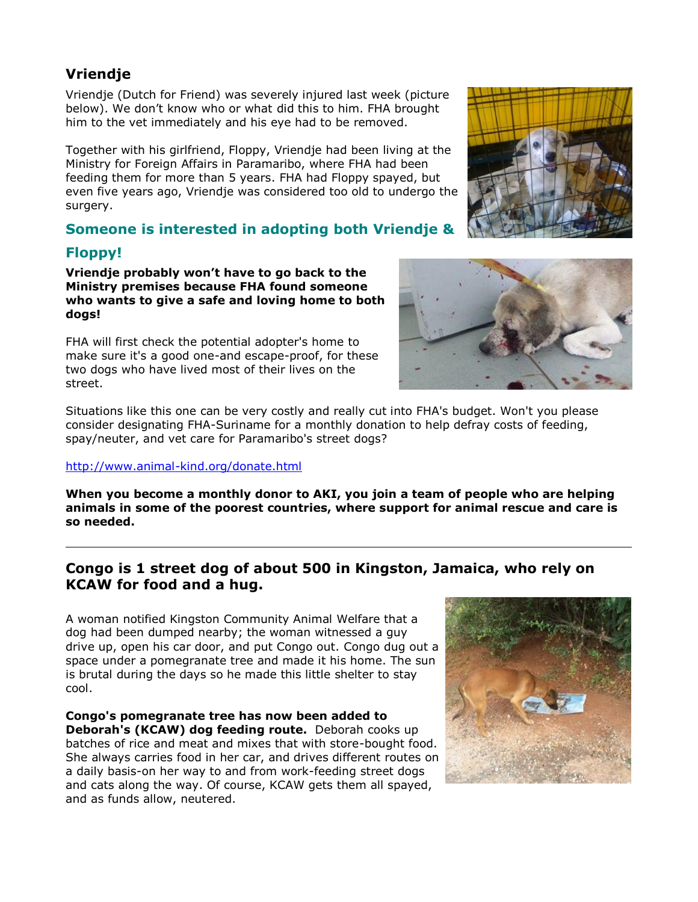# **Vriendje**

Vriendje (Dutch for Friend) was severely injured last week (picture below). We don't know who or what did this to him. FHA brought him to the vet immediately and his eye had to be removed.

Together with his girlfriend, Floppy, Vriendje had been living at the Ministry for Foreign Affairs in Paramaribo, where FHA had been feeding them for more than 5 years. FHA had Floppy spayed, but even five years ago, Vriendje was considered too old to undergo the surgery.

# **Someone is interested in adopting both Vriendje &**

# **Floppy!**

**Vriendje probably won't have to go back to the Ministry premises because FHA found someone who wants to give a safe and loving home to both dogs!** 

FHA will first check the potential adopter's home to make sure it's a good one-and escape-proof, for these two dogs who have lived most of their lives on the street.

Situations like this one can be very costly and really cut into FHA's budget. Won't you please consider designating FHA-Suriname for a monthly donation to help defray costs of feeding, spay/neuter, and vet care for Paramaribo's street dogs?

## [http://www.animal-kind.org/donate.html](http://cts.vresp.com/c/?AnimalKindInternatio/54c95d4b33/f33df9aebc/d05c9684d8)

**When you become a monthly donor to AKI, you join a team of people who are helping animals in some of the poorest countries, where support for animal rescue and care is so needed.** 

# **Congo is 1 street dog of about 500 in Kingston, Jamaica, who rely on KCAW for food and a hug.**

A woman notified Kingston Community Animal Welfare that a dog had been dumped nearby; the woman witnessed a guy drive up, open his car door, and put Congo out. Congo dug out a space under a pomegranate tree and made it his home. The sun is brutal during the days so he made this little shelter to stay cool.

**Congo's pomegranate tree has now been added to Deborah's (KCAW) dog feeding route.** Deborah cooks up batches of rice and meat and mixes that with store-bought food. She always carries food in her car, and drives different routes on a daily basis-on her way to and from work-feeding street dogs and cats along the way. Of course, KCAW gets them all spayed, and as funds allow, neutered.